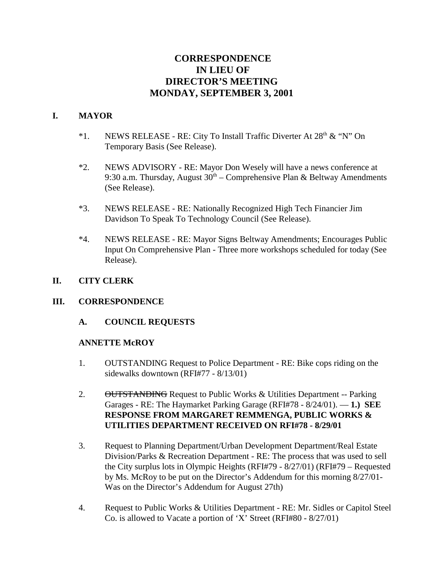# **CORRESPONDENCE IN LIEU OF DIRECTOR'S MEETING MONDAY, SEPTEMBER 3, 2001**

#### **I. MAYOR**

- \*1. NEWS RELEASE RE: City To Install Traffic Diverter At  $28<sup>th</sup>$  & "N" On Temporary Basis (See Release).
- \*2. NEWS ADVISORY RE: Mayor Don Wesely will have a news conference at 9:30 a.m. Thursday, August  $30<sup>th</sup>$  – Comprehensive Plan & Beltway Amendments (See Release).
- \*3. NEWS RELEASE RE: Nationally Recognized High Tech Financier Jim Davidson To Speak To Technology Council (See Release).
- \*4. NEWS RELEASE RE: Mayor Signs Beltway Amendments; Encourages Public Input On Comprehensive Plan - Three more workshops scheduled for today (See Release).

# **II. CITY CLERK**

#### **III. CORRESPONDENCE**

**A. COUNCIL REQUESTS**

#### **ANNETTE McROY**

- 1. OUTSTANDING Request to Police Department RE: Bike cops riding on the sidewalks downtown (RFI#77 - 8/13/01)
- 2. OUTSTANDING Request to Public Works & Utilities Department -- Parking Garages - RE: The Haymarket Parking Garage (RFI#78 - 8/24/01). — **1.) SEE RESPONSE FROM MARGARET REMMENGA, PUBLIC WORKS & UTILITIES DEPARTMENT RECEIVED ON RFI#78 - 8/29/01**
- 3. Request to Planning Department/Urban Development Department/Real Estate Division/Parks & Recreation Department - RE: The process that was used to sell the City surplus lots in Olympic Heights (RFI#79 - 8/27/01) (RFI#79 – Requested by Ms. McRoy to be put on the Director's Addendum for this morning 8/27/01- Was on the Director's Addendum for August 27th)
- 4. Request to Public Works & Utilities Department RE: Mr. Sidles or Capitol Steel Co. is allowed to Vacate a portion of 'X' Street (RFI#80 - 8/27/01)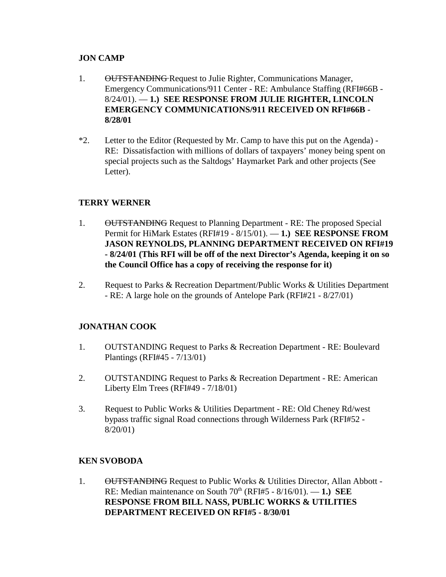### **JON CAMP**

- 1. **OUTSTANDING** Request to Julie Righter, Communications Manager, Emergency Communications/911 Center - RE: Ambulance Staffing (RFI#66B - 8/24/01). — **1.) SEE RESPONSE FROM JULIE RIGHTER, LINCOLN EMERGENCY COMMUNICATIONS/911 RECEIVED ON RFI#66B - 8/28/01**
- \*2. Letter to the Editor (Requested by Mr. Camp to have this put on the Agenda) RE: Dissatisfaction with millions of dollars of taxpayers' money being spent on special projects such as the Saltdogs' Haymarket Park and other projects (See Letter).

# **TERRY WERNER**

- 1. OUTSTANDING Request to Planning Department RE: The proposed Special Permit for HiMark Estates (RFI#19 - 8/15/01). — **1.) SEE RESPONSE FROM JASON REYNOLDS, PLANNING DEPARTMENT RECEIVED ON RFI#19 - 8/24/01 (This RFI will be off of the next Director's Agenda, keeping it on so the Council Office has a copy of receiving the response for it)**
- 2. Request to Parks & Recreation Department/Public Works & Utilities Department - RE: A large hole on the grounds of Antelope Park (RFI#21 - 8/27/01)

#### **JONATHAN COOK**

- 1. OUTSTANDING Request to Parks & Recreation Department RE: Boulevard Plantings (RFI#45 - 7/13/01)
- 2. OUTSTANDING Request to Parks & Recreation Department RE: American Liberty Elm Trees (RFI#49 - 7/18/01)
- 3. Request to Public Works & Utilities Department RE: Old Cheney Rd/west bypass traffic signal Road connections through Wilderness Park (RFI#52 - 8/20/01)

#### **KEN SVOBODA**

1. OUTSTANDING Request to Public Works & Utilities Director, Allan Abbott -RE: Median maintenance on South 70<sup>th</sup> (RFI#5 - 8/16/01). — **1.) SEE RESPONSE FROM BILL NASS, PUBLIC WORKS & UTILITIES DEPARTMENT RECEIVED ON RFI#5 - 8/30/01**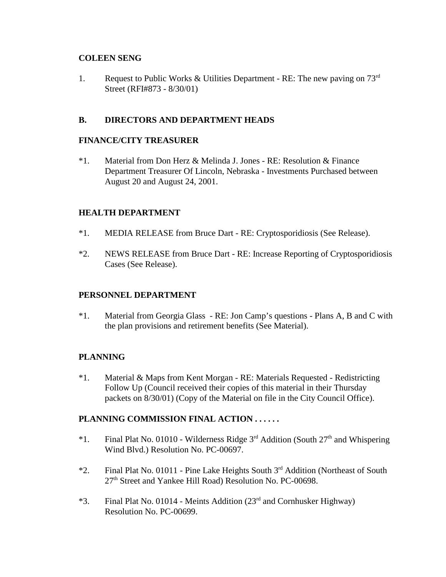#### **COLEEN SENG**

1. Request to Public Works & Utilities Department - RE: The new paving on  $73<sup>rd</sup>$ Street (RFI#873 - 8/30/01)

### **B. DIRECTORS AND DEPARTMENT HEADS**

#### **FINANCE/CITY TREASURER**

\*1. Material from Don Herz & Melinda J. Jones - RE: Resolution & Finance Department Treasurer Of Lincoln, Nebraska - Investments Purchased between August 20 and August 24, 2001.

#### **HEALTH DEPARTMENT**

- \*1. MEDIA RELEASE from Bruce Dart RE: Cryptosporidiosis (See Release).
- \*2. NEWS RELEASE from Bruce Dart RE: Increase Reporting of Cryptosporidiosis Cases (See Release).

#### **PERSONNEL DEPARTMENT**

\*1. Material from Georgia Glass - RE: Jon Camp's questions - Plans A, B and C with the plan provisions and retirement benefits (See Material).

#### **PLANNING**

\*1. Material & Maps from Kent Morgan - RE: Materials Requested - Redistricting Follow Up (Council received their copies of this material in their Thursday packets on 8/30/01) (Copy of the Material on file in the City Council Office).

#### **PLANNING COMMISSION FINAL ACTION . . . . . .**

- \*1. Final Plat No. 01010 Wilderness Ridge  $3<sup>rd</sup>$  Addition (South  $27<sup>th</sup>$  and Whispering Wind Blvd.) Resolution No. PC-00697.
- \*2. Final Plat No. 01011 Pine Lake Heights South 3rd Addition (Northeast of South 27<sup>th</sup> Street and Yankee Hill Road) Resolution No. PC-00698.
- \*3. Final Plat No. 01014 Meints Addition  $(23<sup>rd</sup>$  and Cornhusker Highway) Resolution No. PC-00699.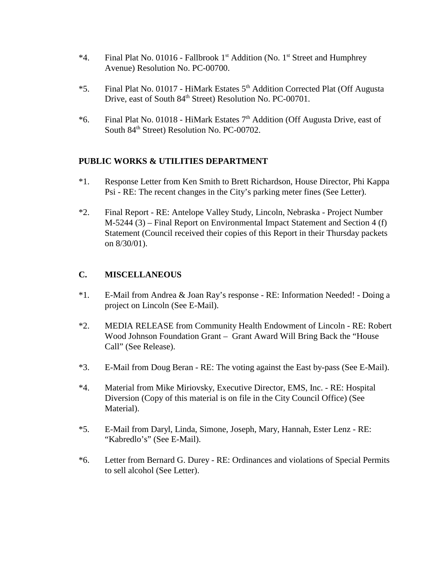- \*4. Final Plat No. 01016 Fallbrook 1<sup>st</sup> Addition (No. 1<sup>st</sup> Street and Humphrey Avenue) Resolution No. PC-00700.
- \*5. Final Plat No. 01017 HiMark Estates 5<sup>th</sup> Addition Corrected Plat (Off Augusta Drive, east of South 84<sup>th</sup> Street) Resolution No. PC-00701.
- \*6. Final Plat No. 01018 HiMark Estates 7th Addition (Off Augusta Drive, east of South 84th Street) Resolution No. PC-00702.

#### **PUBLIC WORKS & UTILITIES DEPARTMENT**

- \*1. Response Letter from Ken Smith to Brett Richardson, House Director, Phi Kappa Psi - RE: The recent changes in the City's parking meter fines (See Letter).
- \*2. Final Report RE: Antelope Valley Study, Lincoln, Nebraska Project Number M-5244 (3) – Final Report on Environmental Impact Statement and Section 4 (f) Statement (Council received their copies of this Report in their Thursday packets on 8/30/01).

### **C. MISCELLANEOUS**

- \*1. E-Mail from Andrea & Joan Ray's response RE: Information Needed! Doing a project on Lincoln (See E-Mail).
- \*2. MEDIA RELEASE from Community Health Endowment of Lincoln RE: Robert Wood Johnson Foundation Grant – Grant Award Will Bring Back the "House Call" (See Release).
- \*3. E-Mail from Doug Beran RE: The voting against the East by-pass (See E-Mail).
- \*4. Material from Mike Miriovsky, Executive Director, EMS, Inc. RE: Hospital Diversion (Copy of this material is on file in the City Council Office) (See Material).
- \*5. E-Mail from Daryl, Linda, Simone, Joseph, Mary, Hannah, Ester Lenz RE: "Kabredlo's" (See E-Mail).
- \*6. Letter from Bernard G. Durey RE: Ordinances and violations of Special Permits to sell alcohol (See Letter).